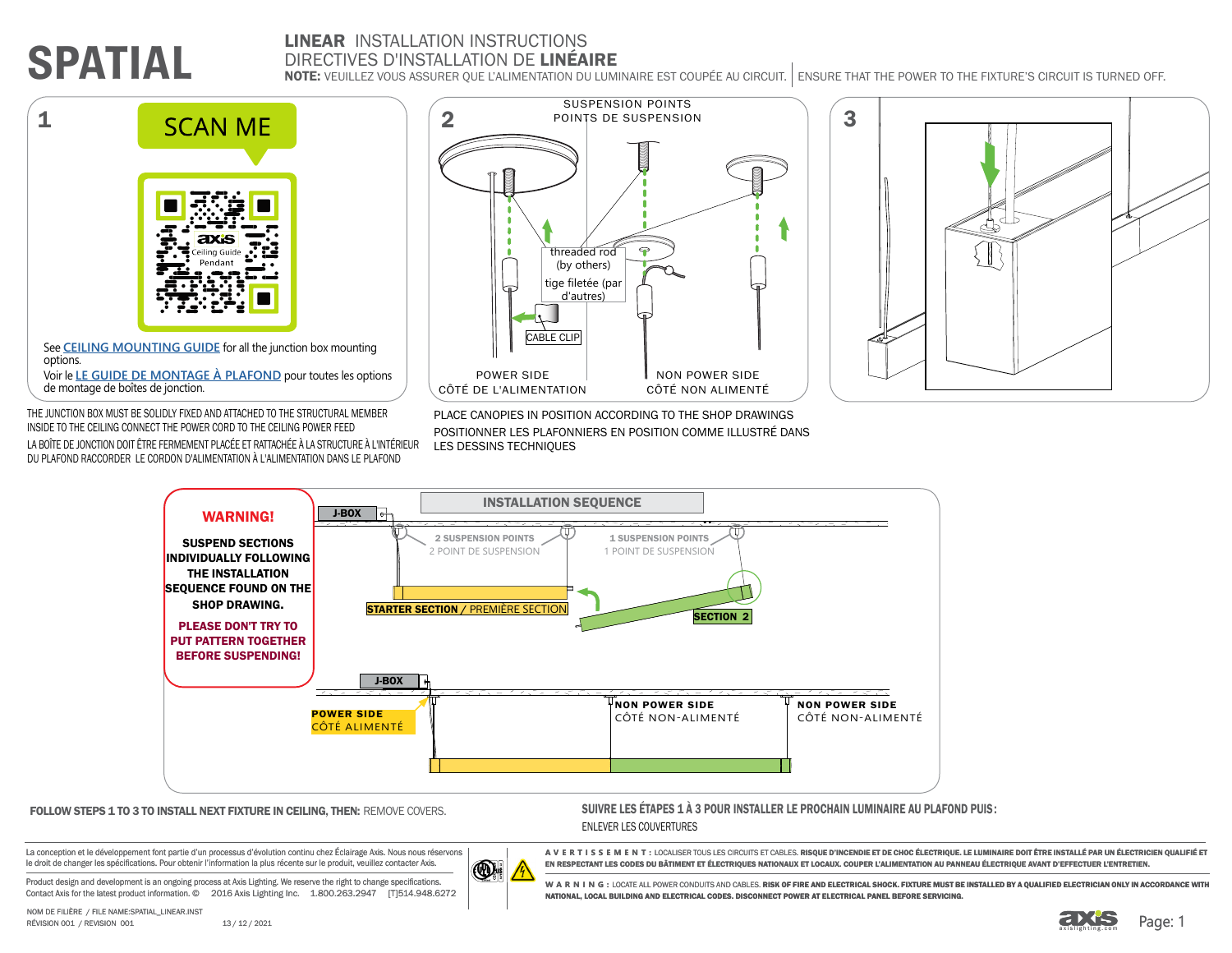# **SPATIAL**

### LINEAR INSTALLATION INSTRUCTIONS DIRECTIVES D'INSTALLATION DE LINÉAIRE

NOTE: VEUILLEZ VOUS ASSURER QUE L'ALIMENTATION DU LUMINAIRE EST COUPÉE AU CIRCUIT. ENSURE THAT THE POWER TO THE FIXTURE'S CIRCUIT IS TURNED OFF.



See **[CEILING MOUNTING GUIDE](https://www.axislighting.com/download_file/9461/0)** for all the junction box mounting options.

Voir le **[LE GUIDE DE MONTAGE À PLAFOND](https://www.axislighting.com/download_file/9461/0)** pour toutes les options de montage de boîtes de jonction.

THE JUNCTION BOX MUST BE SOLIDLY FIXED AND ATTACHED TO THE STRUCTURAL MEMBER INSIDE TO THE CEILING CONNECT THE POWER CORD TO THE CEILING POWER FEED LA BOÎTE DE JONCTION DOIT ÊTRE FERMEMENT PLACÉE ET RATTACHÉE À LA STRUCTURE À L'INTÉRIEUR DU PLAFOND RACCORDER LE CORDON D'ALIMENTATION À L'ALIMENTATION DANS LE PLAFOND







 $\bigcirc$ 

FOLLOW STEPS 1 TO 3 TO INSTALL NEXT FIXTURE IN CEILING, THEN: REMOVE COVERS. SUIVRE LES ÉTAPES 1 À 3 POUR INSTALLER LE PROCHAIN LUMINAIRE AU PLAFOND PUIS: ENLEVER LES COUVERTURES

La conception et le développement font partie d'un processus d'évolution continu chez Éclairage Axis. Nous nous réservons le droit de changer les spécifications. Pour obtenir l'information la plus récente sur le produit, veuillez contacter Axis.

Product design and development is an ongoing process at Axis Lighting. We reserve the right to change specifications. Contact Axis for the latest product information. © 2016 Axis Lighting Inc. 1.800.263.2947 [T]514.948.6272



A VERTISSEMENT: LOCALISER TOUS LES CIRCUITS ET CABLES. RI**SQUE D'INCENDIE ET DE CHOC ÉLECTRIQUE. LE LUMINAIRE DOIT ÊTRE INSTALLÉ PAR UN ÉLECTRICIEN QUALIFIÉ ET** 

EN RESPECTANT LES CODES DU BÂTIMENT ET ÉLECTRIQUES NATIONAUX ET LOCAUX. COUPER L'ALIMENTATION AU PANNEAU ÉLECTRIQUE AVANT D'EFFECTUER L'ENTRETIEN.

WARNING: LOCATE ALL POWER CONDUITS AND CABLES. **DISK OF FIDE AND ELECTRICAL SHOCK. FIXTURE MUST BE INSTALLED BY A QUALIFIED ELECTRICIAN ONLY IN ACCORDANCE WITH** NATIONAL, LOCAL BUILDING AND ELECTRICAL CODES. DISCONNECT POWER AT ELECTRICAL PANEL BEFORE SERVICING.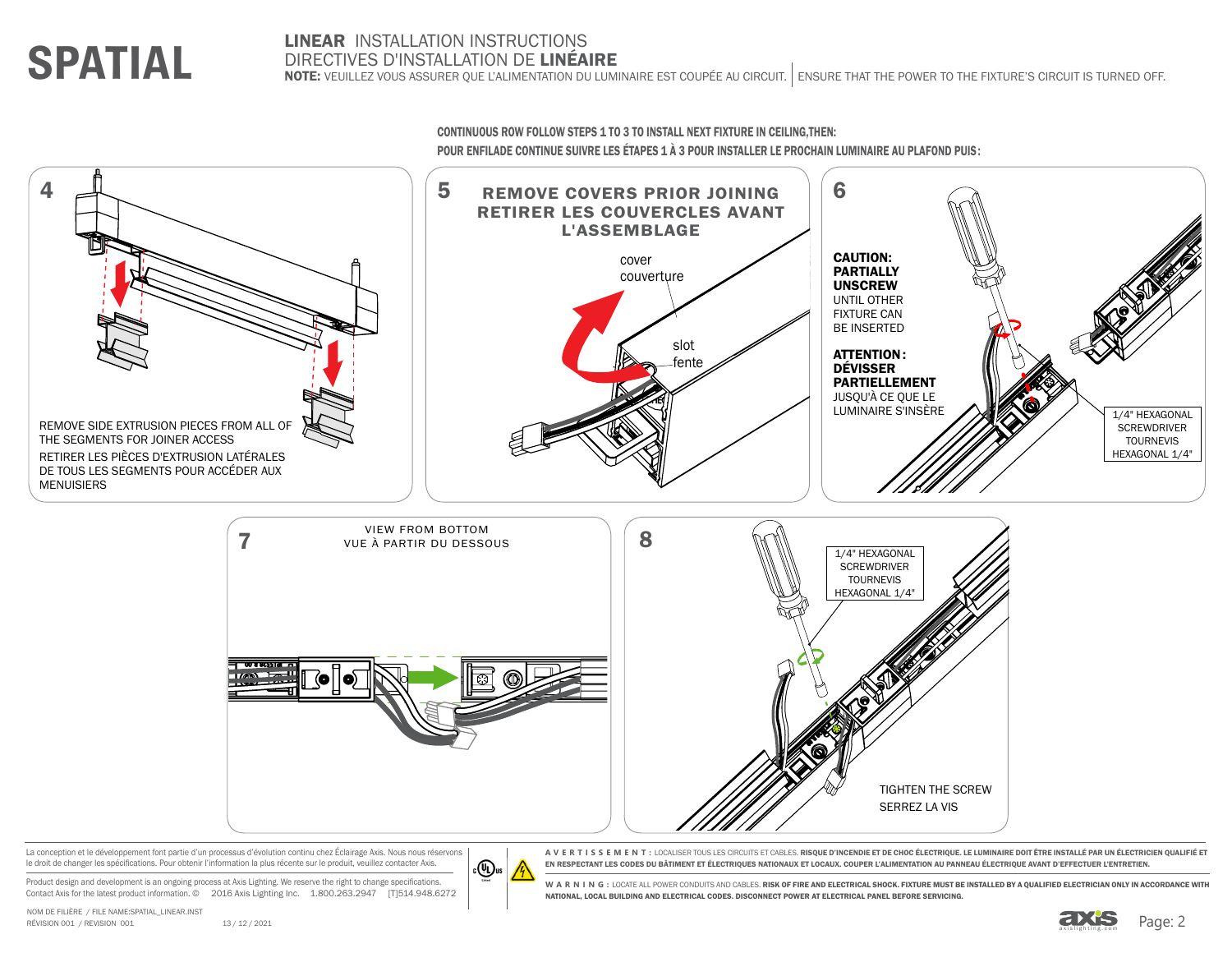7 8 REMOVE SIDE EXTRUSION PIECES FROM ALL OF THE SEGMENTS FOR JOINER ACCESS RETIRER LES PIÈCES D'EXTRUSION LATÉRALES DE TOUS LES SEGMENTS POUR ACCÉDER AUX MENUISIERS CAUTION: PARTIALLY UNSCREW UNTIL OTHER FIXTURE CAN BE INSERTED ATTENTION: DÉVISSER PARTIELLEMENT JUSQU'À CE QUE LE LUMINAIRE S'INSÈRE ANNEXAGONAL SCREWDRIVER TOURNEVIS HEXAGONAL 1/4" TIGHTEN THE SCREW SERREZ LA VIS 1/4" HEXAGONAL **SCREWDRIVER** TOURNEVIS HEXAGONAL 1/4 VIEW FROM BOTTOM VUE À PARTIR DU DESSOUS cover couverture slot fente RETIRER LES COUVERCLES AVANT L'ASSEMBLAGE

La conception et le développement font partie d'un processus d'évolution continu chez Éclairage Axis. Nous nous réservons le droit de changer les spécifications. Pour obtenir l'information la plus récente sur le produit, veuillez contacter Axis.

Product design and development is an ongoing process at Axis Lighting. We reserve the right to change specifications Contact Axis for the latest product information. © 2016 Axis Lighting Inc. 1.800.263.2947 [T]514.948.6272



DIRECTIVES D'INSTALLATION DE LINÉAIRE NOTE: VEUILLEZ VOUS ASSURER QUE L'ALIMENTATION DU LUMINAIRE EST COUPÉE AU CIRCUIT. ENSURE THAT THE POWER TO THE FIXTURE'S CIRCUIT IS TURNED OFF.

**SPATIAL**



**AVERTISSEMENT:** LOCALISER TOUS LES CIRCUITS ET CABLES. RISQUE D'INCENDIE ET DE CHOC ÉLECTRIQUE. LE LUMINAIRE DOIT ÊTRE INSTALLÉ PAR UN ÉLECTRICIEN QUALIFIÉ ET EN RESPECTANT LES CODES DU BÂTIMENT ET ÉLECTRIQUES NATIONAUX ET LOCAUX. COUPER L'ALIMENTATION AU PANNEAU ÉLECTRIQUE AVANT D'EFFECTUER L'ENTRETIEN.

WARNING: LOCATE ALL POWER CONDUITS AND CABLES. RISK OF FIRE AND ELECTRICAL SHOCK. FIXTURE MUST BE INSTALLED BY A QUALIFIED ELECTRICIAN ONLY IN ACCORDANCE WITH NATIONAL, LOCAL BUILDING AND ELECTRICAL CODES. DISCONNECT POWER AT ELECTRICAL PANEL BEFORE SERVICING.



 $\overline{4}$   $\overline{5}$  REMOVE COVERS PRIOR JOINING  $\overline{6}$ 

LINEAR INSTALLATION INSTRUCTIONS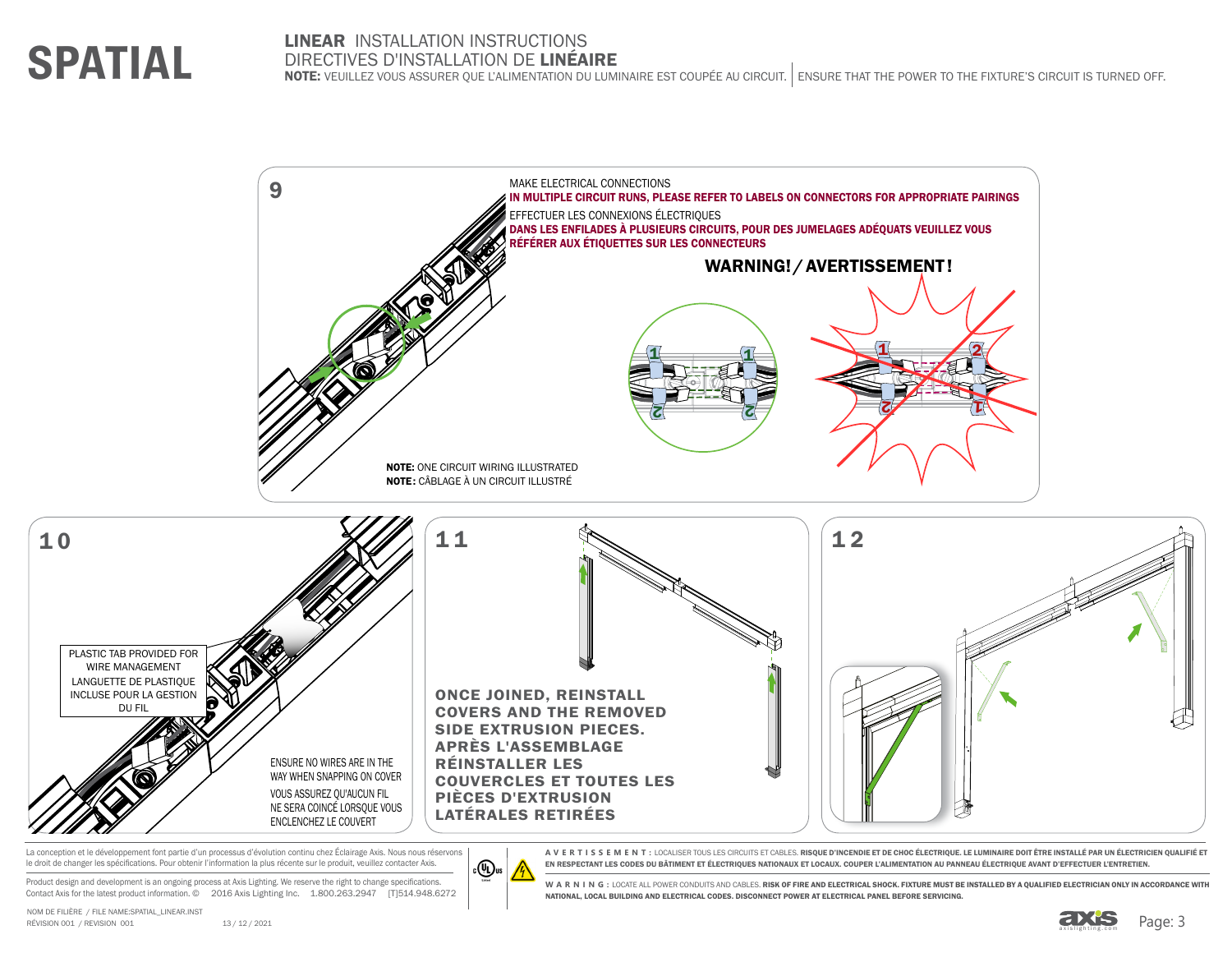# **SPATIAL**

### LINEAR INSTALLATION INSTRUCTIONS DIRECTIVES D'INSTALLATION DE LINÉAIRE

NOTE: VEUILLEZ VOUS ASSURER QUE L'ALIMENTATION DU LUMINAIRE EST COUPÉE AU CIRCUIT. ENSURE THAT THE POWER TO THE FIXTURE'S CIRCUIT IS TURNED OFF.



La conception et le développement font partie d'un processus d'évolution continu chez Éclairage Axis. Nous nous réservons le droit de changer les spécifications. Pour obtenir l'information la plus récente sur le produit, veuillez contacter Axis.

Product design and development is an ongoing process at Axis Lighting. We reserve the right to change specifications Contact Axis for the latest product information. © 2016 Axis Lighting Inc. 1.800.263.2947 [T]514.948.6272



**AVERTISSEMENT:** LOCALISER TOUS LES CIRCUITS ET CABLES. RISQUE D'INCENDIE ET DE CHOC ÉLECTRIQUE. LE LUMINAIRE DOIT ÊTRE INSTALLÉ PAR UN ÉLECTRICIEN QUALIFIÉ ET EN RESPECTANT LES CODES DU BÂTIMENT ET ÉLECTRIQUES NATIONAUX ET LOCAUX. COUPER L'ALIMENTATION AU PANNEAU ÉLECTRIQUE AVANT D'EFFECTUER L'ENTRETIEN.

WARNING: LOCATE ALL POWER CONDUITS AND CABLES. RISK OF FIRE AND ELECTRICAL SHOCK. FIXTURE MUST BE INSTALLED BY A QUALIFIED ELECTRICIAN ONLY IN ACCORDANCE WITH NATIONAL, LOCAL BUILDING AND ELECTRICAL CODES. DISCONNECT POWER AT ELECTRICAL PANEL BEFORE SERVICING.